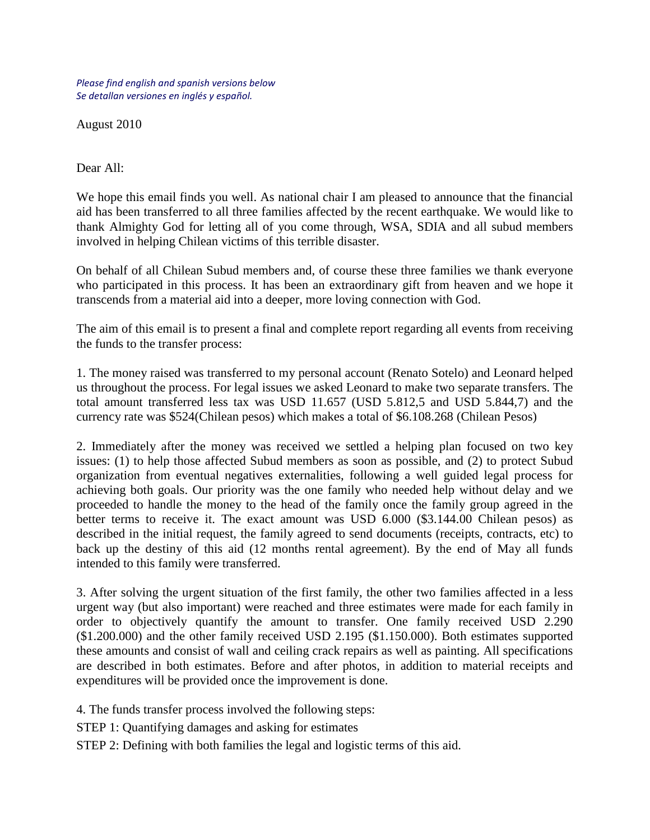*Please find english and spanish versions below Se detallan versiones en inglés y español.*

August 2010

Dear All:

We hope this email finds you well. As national chair I am pleased to announce that the financial aid has been transferred to all three families affected by the recent earthquake. We would like to thank Almighty God for letting all of you come through, WSA, SDIA and all subud members involved in helping Chilean victims of this terrible disaster.

On behalf of all Chilean Subud members and, of course these three families we thank everyone who participated in this process. It has been an extraordinary gift from heaven and we hope it transcends from a material aid into a deeper, more loving connection with God.

The aim of this email is to present a final and complete report regarding all events from receiving the funds to the transfer process:

1. The money raised was transferred to my personal account (Renato Sotelo) and Leonard helped us throughout the process. For legal issues we asked Leonard to make two separate transfers. The total amount transferred less tax was USD 11.657 (USD 5.812,5 and USD 5.844,7) and the currency rate was \$524(Chilean pesos) which makes a total of \$6.108.268 (Chilean Pesos)

2. Immediately after the money was received we settled a helping plan focused on two key issues: (1) to help those affected Subud members as soon as possible, and (2) to protect Subud organization from eventual negatives externalities, following a well guided legal process for achieving both goals. Our priority was the one family who needed help without delay and we proceeded to handle the money to the head of the family once the family group agreed in the better terms to receive it. The exact amount was USD 6.000 (\$3.144.00 Chilean pesos) as described in the initial request, the family agreed to send documents (receipts, contracts, etc) to back up the destiny of this aid (12 months rental agreement). By the end of May all funds intended to this family were transferred.

3. After solving the urgent situation of the first family, the other two families affected in a less urgent way (but also important) were reached and three estimates were made for each family in order to objectively quantify the amount to transfer. One family received USD 2.290 (\$1.200.000) and the other family received USD 2.195 (\$1.150.000). Both estimates supported these amounts and consist of wall and ceiling crack repairs as well as painting. All specifications are described in both estimates. Before and after photos, in addition to material receipts and expenditures will be provided once the improvement is done.

4. The funds transfer process involved the following steps:

STEP 1: Quantifying damages and asking for estimates

STEP 2: Defining with both families the legal and logistic terms of this aid.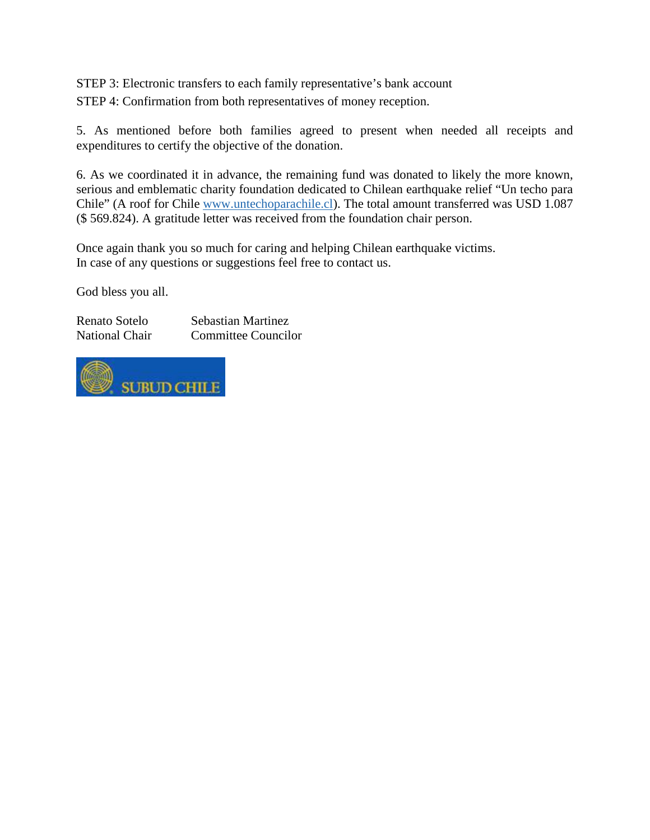STEP 3: Electronic transfers to each family representative's bank account STEP 4: Confirmation from both representatives of money reception.

5. As mentioned before both families agreed to present when needed all receipts and expenditures to certify the objective of the donation.

6. As we coordinated it in advance, the remaining fund was donated to likely the more known, serious and emblematic charity foundation dedicated to Chilean earthquake relief "Un techo para Chile" (A roof for Chile [www.untechoparachile.cl\)](http://www.untechoparachile.cl/). The total amount transferred was USD 1.087 (\$ 569.824). A gratitude letter was received from the foundation chair person.

Once again thank you so much for caring and helping Chilean earthquake victims. In case of any questions or suggestions feel free to contact us.

God bless you all.

Renato Sotelo Sebastian Martinez National Chair Committee Councilor

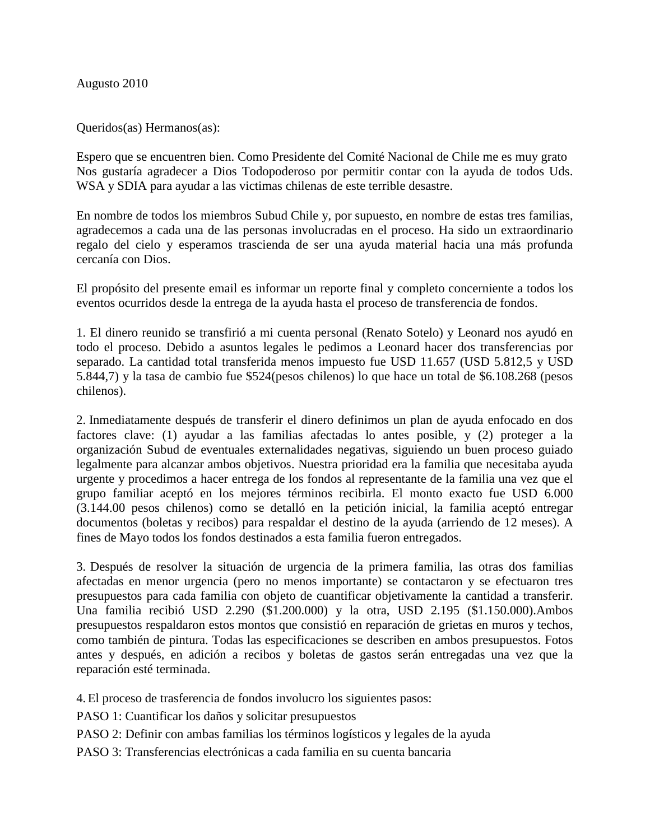Augusto 2010

Queridos(as) Hermanos(as):

Espero que se encuentren bien. Como Presidente del Comité Nacional de Chile me es muy grato Nos gustaría agradecer a Dios Todopoderoso por permitir contar con la ayuda de todos Uds. WSA y SDIA para ayudar a las victimas chilenas de este terrible desastre.

En nombre de todos los miembros Subud Chile y, por supuesto, en nombre de estas tres familias, agradecemos a cada una de las personas involucradas en el proceso. Ha sido un extraordinario regalo del cielo y esperamos trascienda de ser una ayuda material hacia una más profunda cercanía con Dios.

El propósito del presente email es informar un reporte final y completo concerniente a todos los eventos ocurridos desde la entrega de la ayuda hasta el proceso de transferencia de fondos.

1. El dinero reunido se transfirió a mi cuenta personal (Renato Sotelo) y Leonard nos ayudó en todo el proceso. Debido a asuntos legales le pedimos a Leonard hacer dos transferencias por separado. La cantidad total transferida menos impuesto fue USD 11.657 (USD 5.812,5 y USD 5.844,7) y la tasa de cambio fue \$524(pesos chilenos) lo que hace un total de \$6.108.268 (pesos chilenos).

2. Inmediatamente después de transferir el dinero definimos un plan de ayuda enfocado en dos factores clave: (1) ayudar a las familias afectadas lo antes posible, y (2) proteger a la organización Subud de eventuales externalidades negativas, siguiendo un buen proceso guiado legalmente para alcanzar ambos objetivos. Nuestra prioridad era la familia que necesitaba ayuda urgente y procedimos a hacer entrega de los fondos al representante de la familia una vez que el grupo familiar aceptó en los mejores términos recibirla. El monto exacto fue USD 6.000 (3.144.00 pesos chilenos) como se detalló en la petición inicial, la familia aceptó entregar documentos (boletas y recibos) para respaldar el destino de la ayuda (arriendo de 12 meses). A fines de Mayo todos los fondos destinados a esta familia fueron entregados.

3. Después de resolver la situación de urgencia de la primera familia, las otras dos familias afectadas en menor urgencia (pero no menos importante) se contactaron y se efectuaron tres presupuestos para cada familia con objeto de cuantificar objetivamente la cantidad a transferir. Una familia recibió USD 2.290 (\$1.200.000) y la otra, USD 2.195 (\$1.150.000).Ambos presupuestos respaldaron estos montos que consistió en reparación de grietas en muros y techos, como también de pintura. Todas las especificaciones se describen en ambos presupuestos. Fotos antes y después, en adición a recibos y boletas de gastos serán entregadas una vez que la reparación esté terminada.

4.El proceso de trasferencia de fondos involucro los siguientes pasos:

PASO 1: Cuantificar los daños y solicitar presupuestos

PASO 2: Definir con ambas familias los términos logísticos y legales de la ayuda

PASO 3: Transferencias electrónicas a cada familia en su cuenta bancaria